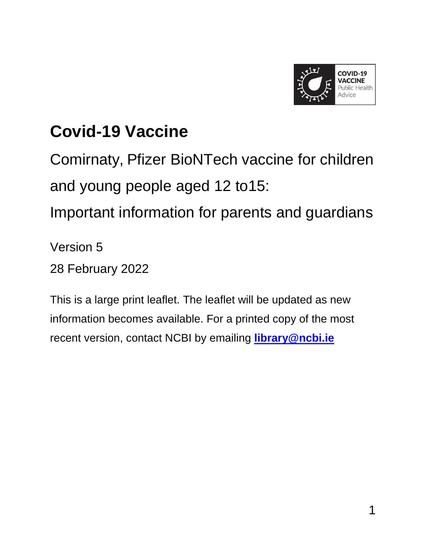

## **Covid-19 Vaccine**

Comirnaty, Pfizer BioNTech vaccine for children and young people aged 12 to15:

Important information for parents and guardians

Version 5

28 February 2022

This is a large print leaflet. The leaflet will be updated as new information becomes available. For a printed copy of the most recent version, contact NCBI by emailing **[library@ncbi.ie](mailto:library@ncbi.ie)**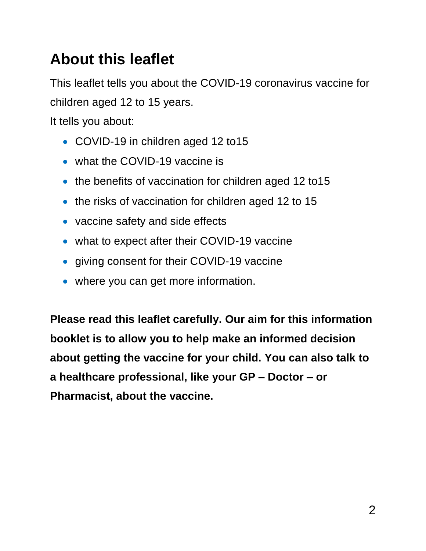### **About this leaflet**

This leaflet tells you about the COVID-19 coronavirus vaccine for children aged 12 to 15 years.

It tells you about:

- COVID-19 in children aged 12 to 15
- what the COVID-19 vaccine is
- the benefits of vaccination for children aged 12 to15
- the risks of vaccination for children aged 12 to 15
- vaccine safety and side effects
- what to expect after their COVID-19 vaccine
- giving consent for their COVID-19 vaccine
- where you can get more information.

**Please read this leaflet carefully. Our aim for this information booklet is to allow you to help make an informed decision about getting the vaccine for your child. You can also talk to a healthcare professional, like your GP – Doctor – or Pharmacist, about the vaccine.**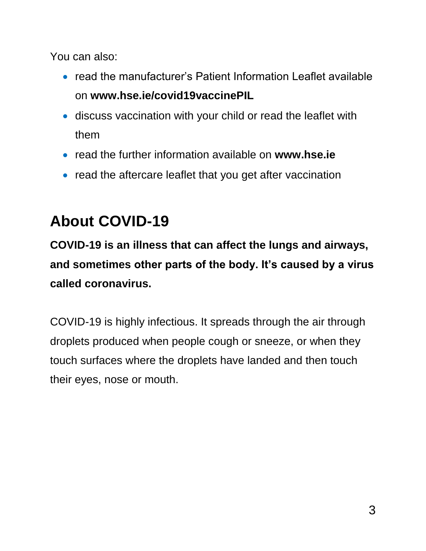You can also:

- read the manufacturer's Patient Information Leaflet available on **www.hse.ie/covid19vaccinePIL**
- discuss vaccination with your child or read the leaflet with them
- read the further information available on **www.hse.ie**
- read the aftercare leaflet that you get after vaccination

## **About COVID-19**

**COVID-19 is an illness that can affect the lungs and airways, and sometimes other parts of the body. It's caused by a virus called coronavirus.**

COVID-19 is highly infectious. It spreads through the air through droplets produced when people cough or sneeze, or when they touch surfaces where the droplets have landed and then touch their eyes, nose or mouth.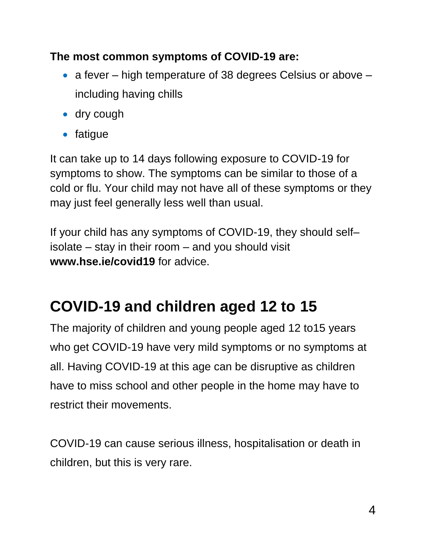#### **The most common symptoms of COVID-19 are:**

- a fever high temperature of 38 degrees Celsius or above including having chills
- dry cough
- fatique

It can take up to 14 days following exposure to COVID-19 for symptoms to show. The symptoms can be similar to those of a cold or flu. Your child may not have all of these symptoms or they may just feel generally less well than usual.

If your child has any symptoms of COVID-19, they should self– isolate – stay in their room – and you should visit **www.hse.ie/covid19** for advice.

## **COVID-19 and children aged 12 to 15**

The majority of children and young people aged 12 to15 years who get COVID-19 have very mild symptoms or no symptoms at all. Having COVID-19 at this age can be disruptive as children have to miss school and other people in the home may have to restrict their movements.

COVID-19 can cause serious illness, hospitalisation or death in children, but this is very rare.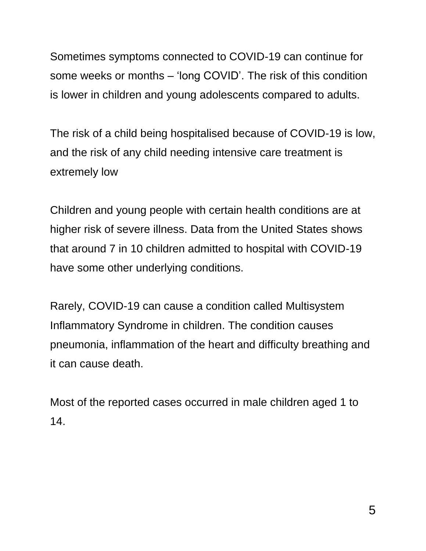Sometimes symptoms connected to COVID-19 can continue for some weeks or months – 'long COVID'. The risk of this condition is lower in children and young adolescents compared to adults.

The risk of a child being hospitalised because of COVID-19 is low, and the risk of any child needing intensive care treatment is extremely low

Children and young people with certain health conditions are at higher risk of severe illness. Data from the United States shows that around 7 in 10 children admitted to hospital with COVID-19 have some other underlying conditions.

Rarely, COVID-19 can cause a condition called Multisystem Inflammatory Syndrome in children. The condition causes pneumonia, inflammation of the heart and difficulty breathing and it can cause death.

Most of the reported cases occurred in male children aged 1 to 14.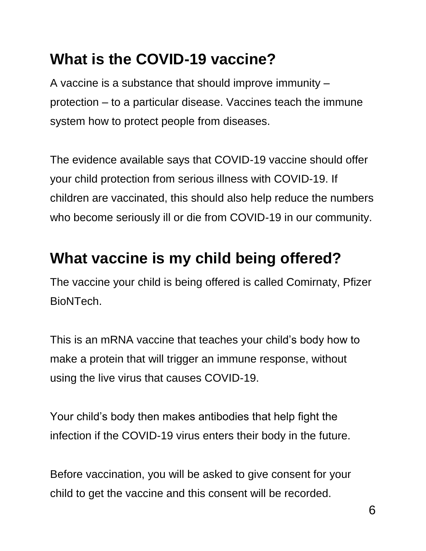### **What is the COVID-19 vaccine?**

A vaccine is a substance that should improve immunity – protection – to a particular disease. Vaccines teach the immune system how to protect people from diseases.

The evidence available says that COVID-19 vaccine should offer your child protection from serious illness with COVID-19. If children are vaccinated, this should also help reduce the numbers who become seriously ill or die from COVID-19 in our community.

### **What vaccine is my child being offered?**

The vaccine your child is being offered is called Comirnaty, Pfizer BioNTech.

This is an mRNA vaccine that teaches your child's body how to make a protein that will trigger an immune response, without using the live virus that causes COVID-19.

Your child's body then makes antibodies that help fight the infection if the COVID-19 virus enters their body in the future.

Before vaccination, you will be asked to give consent for your child to get the vaccine and this consent will be recorded.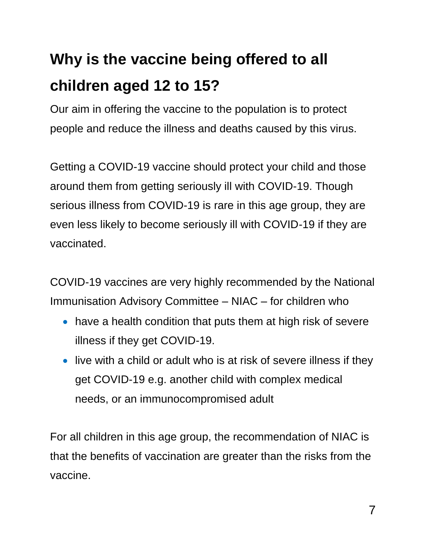## **Why is the vaccine being offered to all children aged 12 to 15?**

Our aim in offering the vaccine to the population is to protect people and reduce the illness and deaths caused by this virus.

Getting a COVID-19 vaccine should protect your child and those around them from getting seriously ill with COVID-19. Though serious illness from COVID-19 is rare in this age group, they are even less likely to become seriously ill with COVID-19 if they are vaccinated.

COVID-19 vaccines are very highly recommended by the National Immunisation Advisory Committee – NIAC – for children who

- have a health condition that puts them at high risk of severe illness if they get COVID-19.
- live with a child or adult who is at risk of severe illness if they get COVID-19 e.g. another child with complex medical needs, or an immunocompromised adult

For all children in this age group, the recommendation of NIAC is that the benefits of vaccination are greater than the risks from the vaccine.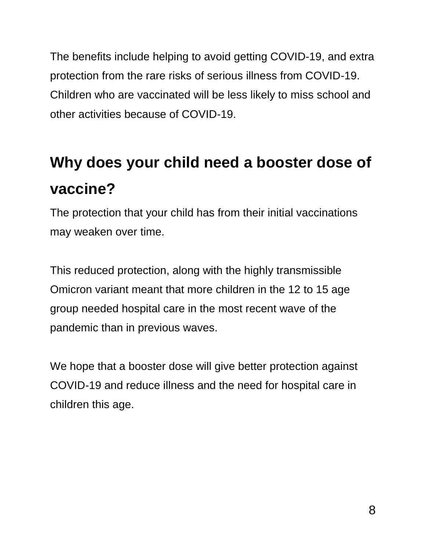The benefits include helping to avoid getting COVID-19, and extra protection from the rare risks of serious illness from COVID-19. Children who are vaccinated will be less likely to miss school and other activities because of COVID-19.

## **Why does your child need a booster dose of vaccine?**

The protection that your child has from their initial vaccinations may weaken over time.

This reduced protection, along with the highly transmissible Omicron variant meant that more children in the 12 to 15 age group needed hospital care in the most recent wave of the pandemic than in previous waves.

We hope that a booster dose will give better protection against COVID-19 and reduce illness and the need for hospital care in children this age.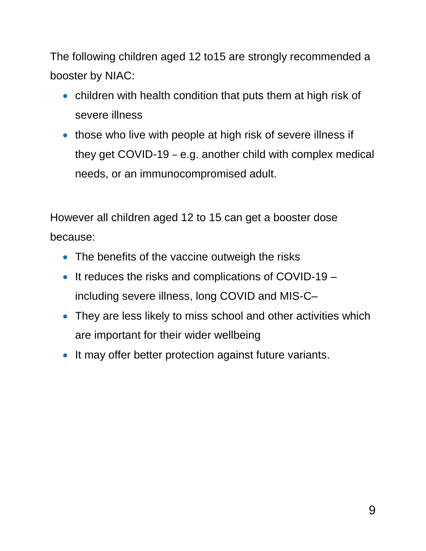The following children aged 12 to15 are strongly recommended a booster by NIAC:

- children with health condition that puts them at high risk of severe illness
- those who live with people at high risk of severe illness if they get COVID-19 – e.g. another child with complex medical needs, or an immunocompromised adult.

However all children aged 12 to 15 can get a booster dose because:

- The benefits of the vaccine outweigh the risks
- $\bullet$  It reduces the risks and complications of COVID-19 including severe illness, long COVID and MIS-C–
- They are less likely to miss school and other activities which are important for their wider wellbeing
- It may offer better protection against future variants.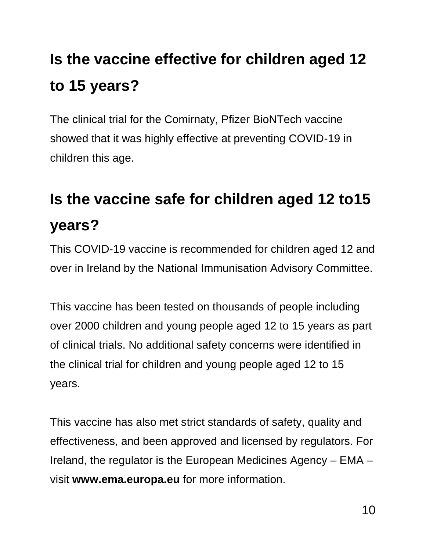## **Is the vaccine effective for children aged 12 to 15 years?**

The clinical trial for the Comirnaty, Pfizer BioNTech vaccine showed that it was highly effective at preventing COVID-19 in children this age.

## **Is the vaccine safe for children aged 12 to15 years?**

This COVID-19 vaccine is recommended for children aged 12 and over in Ireland by the National Immunisation Advisory Committee.

This vaccine has been tested on thousands of people including over 2000 children and young people aged 12 to 15 years as part of clinical trials. No additional safety concerns were identified in the clinical trial for children and young people aged 12 to 15 years.

This vaccine has also met strict standards of safety, quality and effectiveness, and been approved and licensed by regulators. For Ireland, the regulator is the European Medicines Agency – EMA – visit **www.ema.europa.eu** for more information.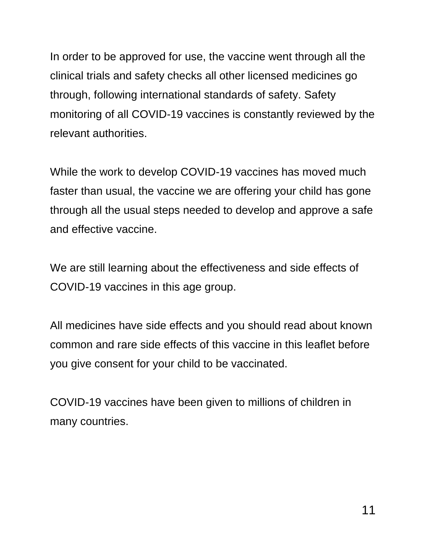In order to be approved for use, the vaccine went through all the clinical trials and safety checks all other licensed medicines go through, following international standards of safety. Safety monitoring of all COVID-19 vaccines is constantly reviewed by the relevant authorities.

While the work to develop COVID-19 vaccines has moved much faster than usual, the vaccine we are offering your child has gone through all the usual steps needed to develop and approve a safe and effective vaccine.

We are still learning about the effectiveness and side effects of COVID-19 vaccines in this age group.

All medicines have side effects and you should read about known common and rare side effects of this vaccine in this leaflet before you give consent for your child to be vaccinated.

COVID-19 vaccines have been given to millions of children in many countries.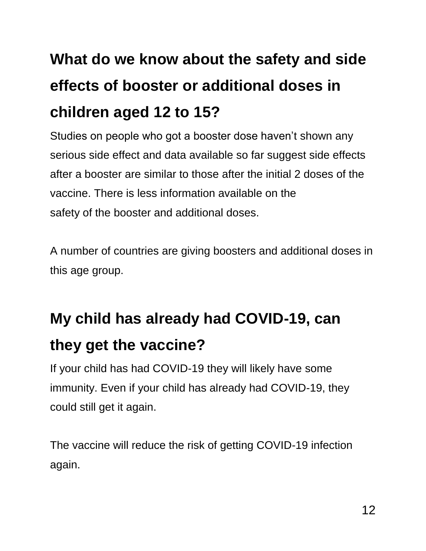## **What do we know about the safety and side effects of booster or additional doses in children aged 12 to 15?**

Studies on people who got a booster dose haven't shown any serious side effect and data available so far suggest side effects after a booster are similar to those after the initial 2 doses of the vaccine. There is less information available on the safety of the booster and additional doses.

A number of countries are giving boosters and additional doses in this age group.

## **My child has already had COVID-19, can they get the vaccine?**

If your child has had COVID-19 they will likely have some immunity. Even if your child has already had COVID-19, they could still get it again.

The vaccine will reduce the risk of getting COVID-19 infection again.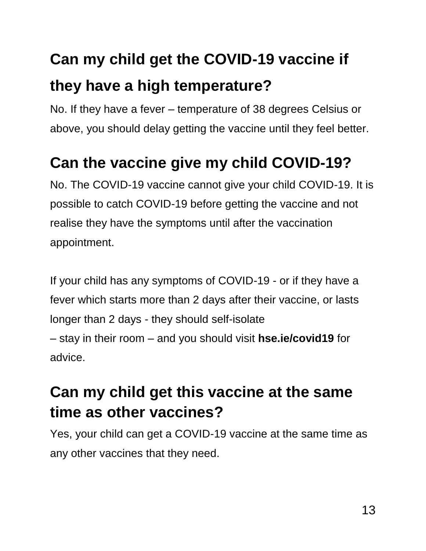## **Can my child get the COVID-19 vaccine if they have a high temperature?**

No. If they have a fever – temperature of 38 degrees Celsius or above, you should delay getting the vaccine until they feel better.

## **Can the vaccine give my child COVID-19?**

No. The COVID-19 vaccine cannot give your child COVID-19. It is possible to catch COVID-19 before getting the vaccine and not realise they have the symptoms until after the vaccination appointment.

If your child has any symptoms of COVID-19 - or if they have a fever which starts more than 2 days after their vaccine, or lasts longer than 2 days - they should self-isolate – stay in their room – and you should visit **hse.ie/covid19** for advice.

### **Can my child get this vaccine at the same time as other vaccines?**

Yes, your child can get a COVID-19 vaccine at the same time as any other vaccines that they need.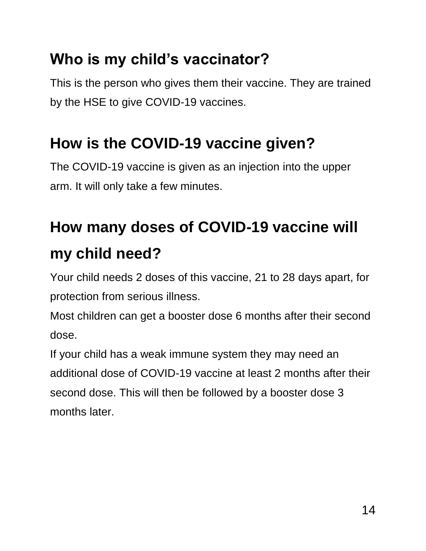### **Who is my child's vaccinator?**

This is the person who gives them their vaccine. They are trained by the HSE to give COVID-19 vaccines.

## **How is the COVID-19 vaccine given?**

The COVID-19 vaccine is given as an injection into the upper arm. It will only take a few minutes.

## **How many doses of COVID-19 vaccine will my child need?**

Your child needs 2 doses of this vaccine, 21 to 28 days apart, for protection from serious illness.

Most children can get a booster dose 6 months after their second dose.

If your child has a weak immune system they may need an additional dose of COVID-19 vaccine at least 2 months after their second dose. This will then be followed by a booster dose 3 months later.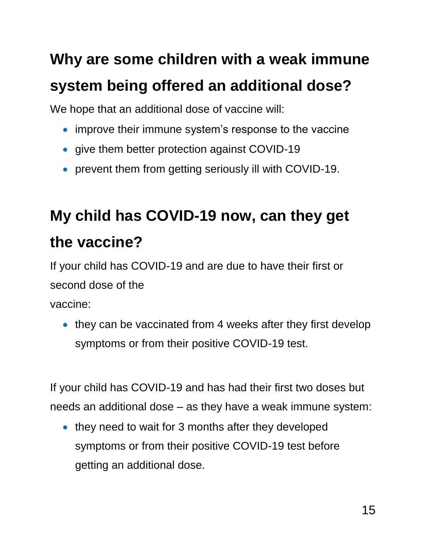## **Why are some children with a weak immune system being offered an additional dose?**

We hope that an additional dose of vaccine will:

- improve their immune system's response to the vaccine
- give them better protection against COVID-19
- prevent them from getting seriously ill with COVID-19.

## **My child has COVID-19 now, can they get the vaccine?**

If your child has COVID-19 and are due to have their first or second dose of the

vaccine:

• they can be vaccinated from 4 weeks after they first develop symptoms or from their positive COVID-19 test.

If your child has COVID-19 and has had their first two doses but needs an additional dose – as they have a weak immune system:

• they need to wait for 3 months after they developed symptoms or from their positive COVID-19 test before getting an additional dose.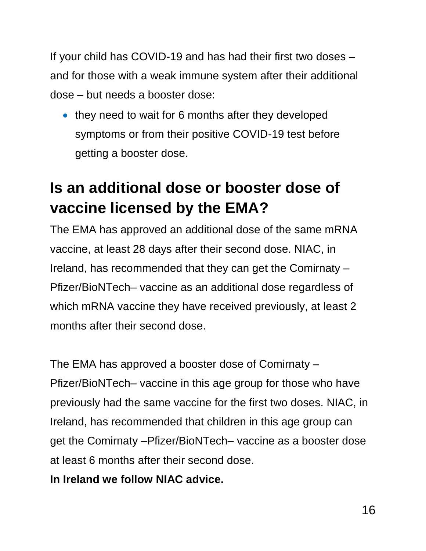If your child has COVID-19 and has had their first two doses – and for those with a weak immune system after their additional dose – but needs a booster dose:

• they need to wait for 6 months after they developed symptoms or from their positive COVID-19 test before getting a booster dose.

## **Is an additional dose or booster dose of vaccine licensed by the EMA?**

The EMA has approved an additional dose of the same mRNA vaccine, at least 28 days after their second dose. NIAC, in Ireland, has recommended that they can get the Comirnaty – Pfizer/BioNTech– vaccine as an additional dose regardless of which mRNA vaccine they have received previously, at least 2 months after their second dose.

The EMA has approved a booster dose of Comirnaty – Pfizer/BioNTech– vaccine in this age group for those who have previously had the same vaccine for the first two doses. NIAC, in Ireland, has recommended that children in this age group can get the Comirnaty –Pfizer/BioNTech– vaccine as a booster dose at least 6 months after their second dose.

**In Ireland we follow NIAC advice.**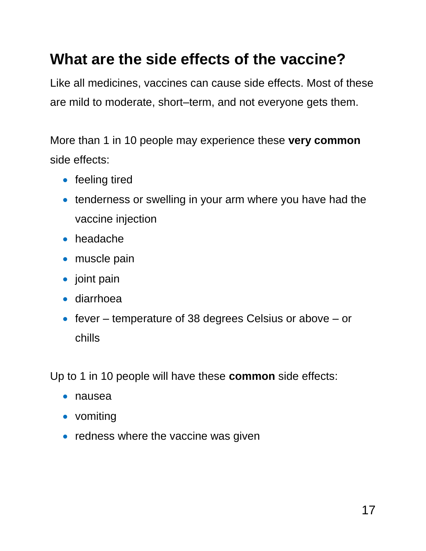### **What are the side effects of the vaccine?**

Like all medicines, vaccines can cause side effects. Most of these are mild to moderate, short–term, and not everyone gets them.

More than 1 in 10 people may experience these **very common** side effects:

- feeling tired
- tenderness or swelling in your arm where you have had the vaccine injection
- headache
- muscle pain
- joint pain
- diarrhoea
- $\bullet$  fever temperature of 38 degrees Celsius or above or chills

Up to 1 in 10 people will have these **common** side effects:

- nausea
- vomiting
- $\bullet$  redness where the vaccine was given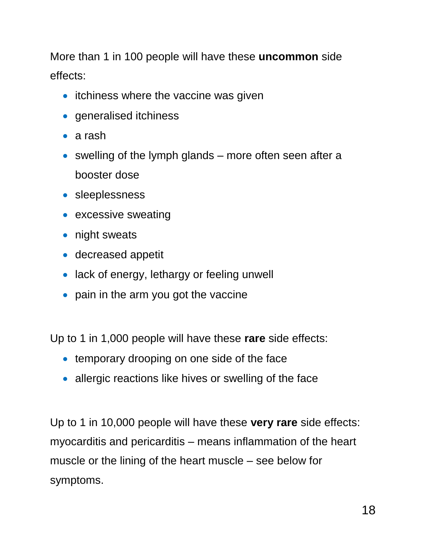More than 1 in 100 people will have these **uncommon** side effects:

- itchiness where the vaccine was given
- generalised itchiness
- a rash
- $\bullet$  swelling of the lymph glands more often seen after a booster dose
- sleeplessness
- excessive sweating
- night sweats
- decreased appetit
- lack of energy, lethargy or feeling unwell
- pain in the arm you got the vaccine

Up to 1 in 1,000 people will have these **rare** side effects:

- **temporary drooping on one side of the face**
- allergic reactions like hives or swelling of the face

Up to 1 in 10,000 people will have these **very rare** side effects: myocarditis and pericarditis – means inflammation of the heart muscle or the lining of the heart muscle – see below for symptoms.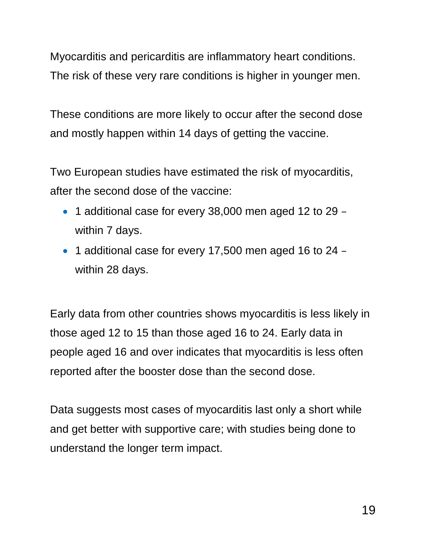Myocarditis and pericarditis are inflammatory heart conditions. The risk of these very rare conditions is higher in younger men.

These conditions are more likely to occur after the second dose and mostly happen within 14 days of getting the vaccine.

Two European studies have estimated the risk of myocarditis, after the second dose of the vaccine:

- 1 additional case for every 38,000 men aged 12 to 29 within 7 days.
- 1 additional case for every 17,500 men aged 16 to 24 within 28 days.

Early data from other countries shows myocarditis is less likely in those aged 12 to 15 than those aged 16 to 24. Early data in people aged 16 and over indicates that myocarditis is less often reported after the booster dose than the second dose.

Data suggests most cases of myocarditis last only a short while and get better with supportive care; with studies being done to understand the longer term impact.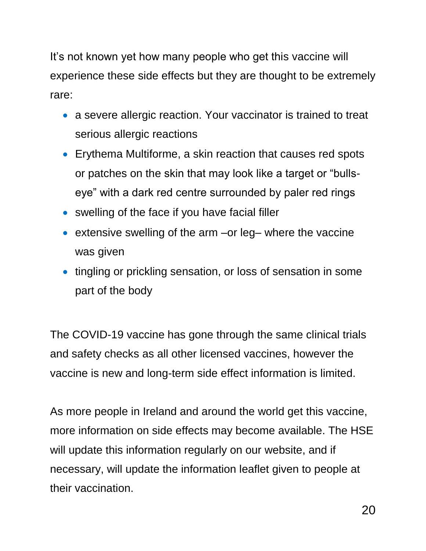It's not known yet how many people who get this vaccine will experience these side effects but they are thought to be extremely rare:

- a severe allergic reaction. Your vaccinator is trained to treat serious allergic reactions
- Erythema Multiforme, a skin reaction that causes red spots or patches on the skin that may look like a target or "bullseye" with a dark red centre surrounded by paler red rings
- swelling of the face if you have facial filler
- extensive swelling of the arm –or leg– where the vaccine was given
- tingling or prickling sensation, or loss of sensation in some part of the body

The COVID-19 vaccine has gone through the same clinical trials and safety checks as all other licensed vaccines, however the vaccine is new and long-term side effect information is limited.

As more people in Ireland and around the world get this vaccine, more information on side effects may become available. The HSE will update this information regularly on our website, and if necessary, will update the information leaflet given to people at their vaccination.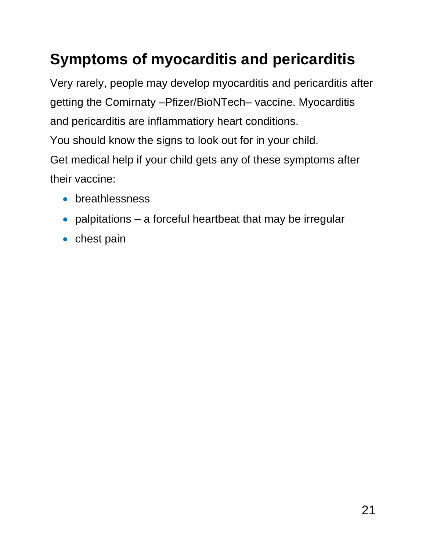## **Symptoms of myocarditis and pericarditis**

Very rarely, people may develop myocarditis and pericarditis after getting the Comirnaty –Pfizer/BioNTech– vaccine. Myocarditis and pericarditis are inflammatiory heart conditions. You should know the signs to look out for in your child. Get medical help if your child gets any of these symptoms after their vaccine:

- **•** breathlessness
- palpitations a forceful heartbeat that may be irregular
- $\bullet$  chest pain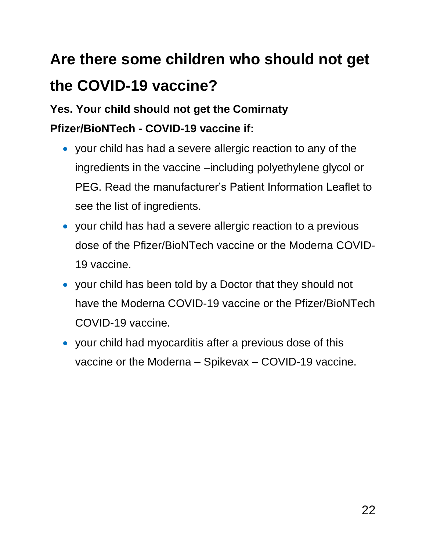## **Are there some children who should not get the COVID-19 vaccine?**

#### **Yes. Your child should not get the Comirnaty Pfizer/BioNTech - COVID-19 vaccine if:**

- your child has had a severe allergic reaction to any of the ingredients in the vaccine –including polyethylene glycol or PEG. Read the manufacturer's Patient Information Leaflet to see the list of ingredients.
- your child has had a severe allergic reaction to a previous dose of the Pfizer/BioNTech vaccine or the Moderna COVID-19 vaccine.
- your child has been told by a Doctor that they should not have the Moderna COVID-19 vaccine or the Pfizer/BioNTech COVID-19 vaccine.
- your child had myocarditis after a previous dose of this vaccine or the Moderna – Spikevax – COVID-19 vaccine.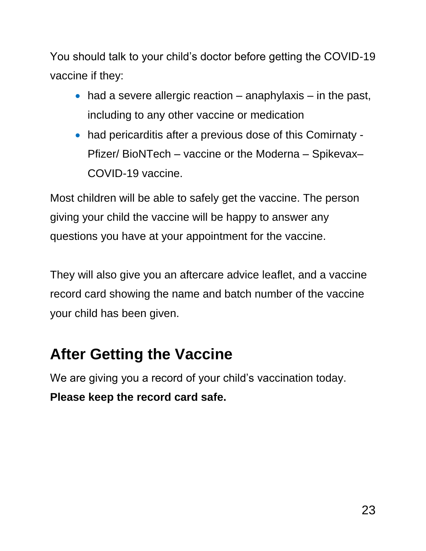You should talk to your child's doctor before getting the COVID-19 vaccine if they:

- $\bullet$  had a severe allergic reaction anaphylaxis in the past, including to any other vaccine or medication
- had pericarditis after a previous dose of this Comirnaty Pfizer/ BioNTech – vaccine or the Moderna – Spikevax– COVID-19 vaccine.

Most children will be able to safely get the vaccine. The person giving your child the vaccine will be happy to answer any questions you have at your appointment for the vaccine.

They will also give you an aftercare advice leaflet, and a vaccine record card showing the name and batch number of the vaccine your child has been given.

### **After Getting the Vaccine**

We are giving you a record of your child's vaccination today. **Please keep the record card safe.**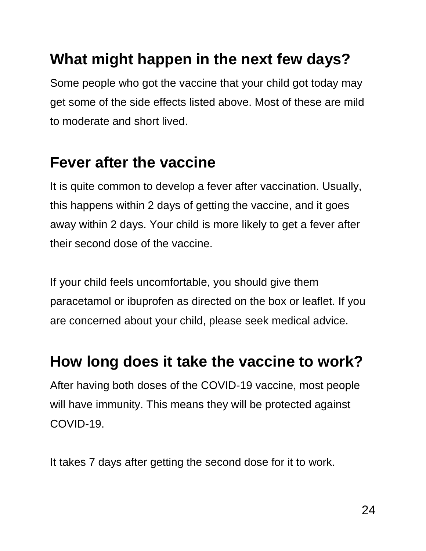### **What might happen in the next few days?**

Some people who got the vaccine that your child got today may get some of the side effects listed above. Most of these are mild to moderate and short lived.

#### **Fever after the vaccine**

It is quite common to develop a fever after vaccination. Usually, this happens within 2 days of getting the vaccine, and it goes away within 2 days. Your child is more likely to get a fever after their second dose of the vaccine.

If your child feels uncomfortable, you should give them paracetamol or ibuprofen as directed on the box or leaflet. If you are concerned about your child, please seek medical advice.

#### **How long does it take the vaccine to work?**

After having both doses of the COVID-19 vaccine, most people will have immunity. This means they will be protected against COVID-19.

It takes 7 days after getting the second dose for it to work.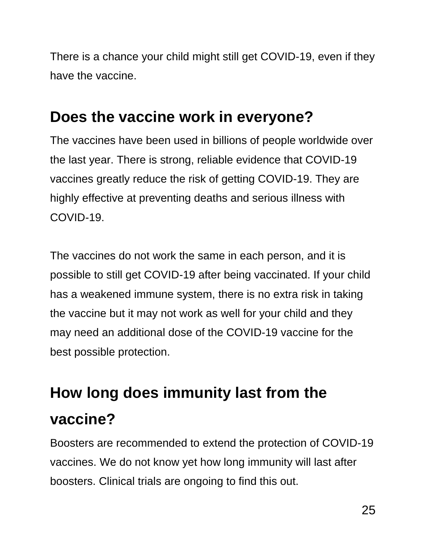There is a chance your child might still get COVID-19, even if they have the vaccine.

#### **Does the vaccine work in everyone?**

The vaccines have been used in billions of people worldwide over the last year. There is strong, reliable evidence that COVID-19 vaccines greatly reduce the risk of getting COVID-19. They are highly effective at preventing deaths and serious illness with COVID-19.

The vaccines do not work the same in each person, and it is possible to still get COVID-19 after being vaccinated. If your child has a weakened immune system, there is no extra risk in taking the vaccine but it may not work as well for your child and they may need an additional dose of the COVID-19 vaccine for the best possible protection.

## **How long does immunity last from the vaccine?**

Boosters are recommended to extend the protection of COVID-19 vaccines. We do not know yet how long immunity will last after boosters. Clinical trials are ongoing to find this out.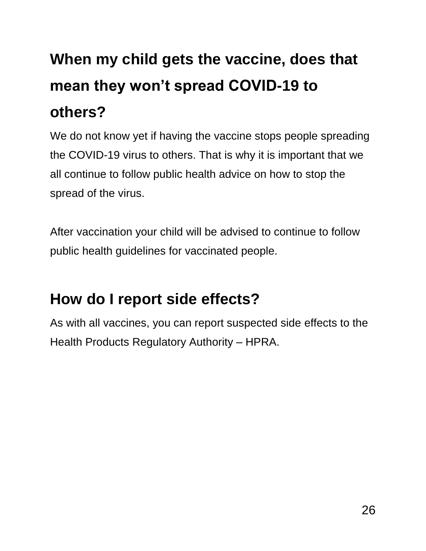# **When my child gets the vaccine, does that mean they won't spread COVID-19 to others?**

We do not know yet if having the vaccine stops people spreading the COVID-19 virus to others. That is why it is important that we all continue to follow public health advice on how to stop the spread of the virus.

After vaccination your child will be advised to continue to follow public health guidelines for vaccinated people.

### **How do I report side effects?**

As with all vaccines, you can report suspected side effects to the Health Products Regulatory Authority – HPRA.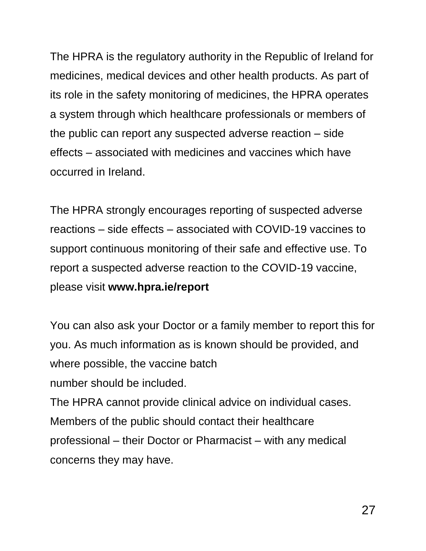The HPRA is the regulatory authority in the Republic of Ireland for medicines, medical devices and other health products. As part of its role in the safety monitoring of medicines, the HPRA operates a system through which healthcare professionals or members of the public can report any suspected adverse reaction – side effects – associated with medicines and vaccines which have occurred in Ireland.

The HPRA strongly encourages reporting of suspected adverse reactions – side effects – associated with COVID-19 vaccines to support continuous monitoring of their safe and effective use. To report a suspected adverse reaction to the COVID-19 vaccine, please visit **www.hpra.ie/report**

You can also ask your Doctor or a family member to report this for you. As much information as is known should be provided, and where possible, the vaccine batch number should be included. The HPRA cannot provide clinical advice on individual cases. Members of the public should contact their healthcare professional – their Doctor or Pharmacist – with any medical concerns they may have.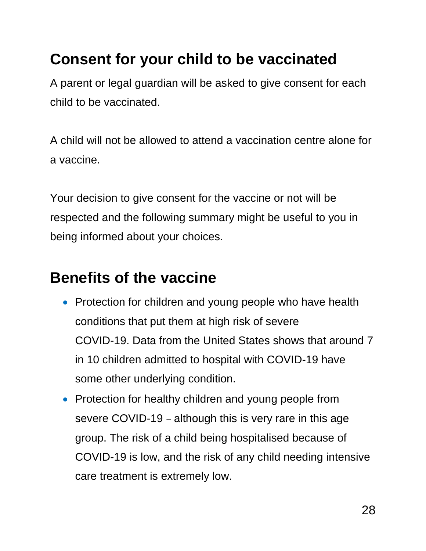### **Consent for your child to be vaccinated**

A parent or legal guardian will be asked to give consent for each child to be vaccinated.

A child will not be allowed to attend a vaccination centre alone for a vaccine.

Your decision to give consent for the vaccine or not will be respected and the following summary might be useful to you in being informed about your choices.

### **Benefits of the vaccine**

- Protection for children and young people who have health conditions that put them at high risk of severe COVID-19. Data from the United States shows that around 7 in 10 children admitted to hospital with COVID-19 have some other underlying condition.
- Protection for healthy children and young people from severe COVID-19 – although this is very rare in this age group. The risk of a child being hospitalised because of COVID-19 is low, and the risk of any child needing intensive care treatment is extremely low.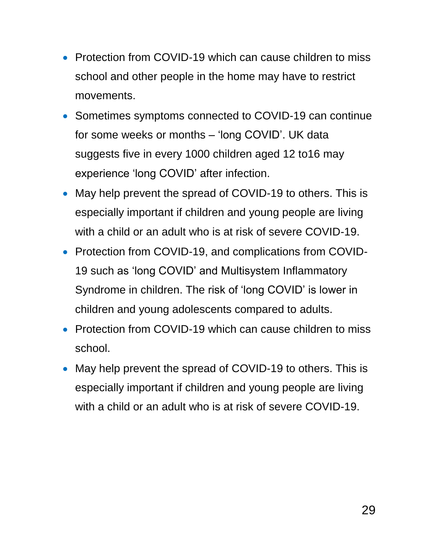- Protection from COVID-19 which can cause children to miss school and other people in the home may have to restrict movements.
- Sometimes symptoms connected to COVID-19 can continue for some weeks or months – 'long COVID'. UK data suggests five in every 1000 children aged 12 to16 may experience 'long COVID' after infection.
- May help prevent the spread of COVID-19 to others. This is especially important if children and young people are living with a child or an adult who is at risk of severe COVID-19.
- Protection from COVID-19, and complications from COVID-19 such as 'long COVID' and Multisystem Inflammatory Syndrome in children. The risk of 'long COVID' is lower in children and young adolescents compared to adults.
- Protection from COVID-19 which can cause children to miss school.
- May help prevent the spread of COVID-19 to others. This is especially important if children and young people are living with a child or an adult who is at risk of severe COVID-19.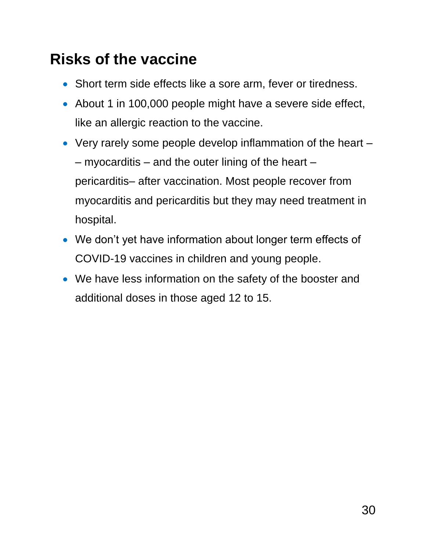### **Risks of the vaccine**

- Short term side effects like a sore arm, fever or tiredness.
- About 1 in 100,000 people might have a severe side effect, like an allergic reaction to the vaccine.
- Very rarely some people develop inflammation of the heart  $-$  myocarditis  $-$  and the outer lining of the heart  $$ pericarditis– after vaccination. Most people recover from myocarditis and pericarditis but they may need treatment in hospital.
- We don't yet have information about longer term effects of COVID-19 vaccines in children and young people.
- We have less information on the safety of the booster and additional doses in those aged 12 to 15.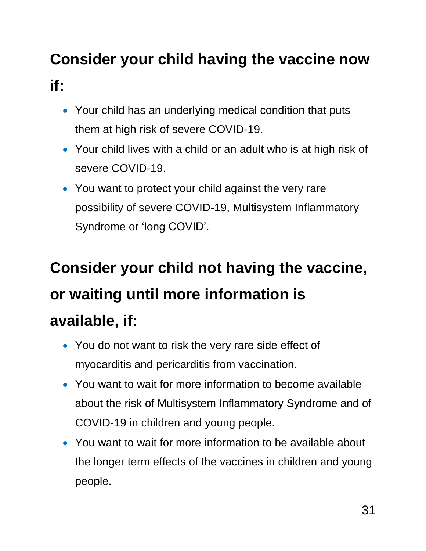## **Consider your child having the vaccine now if:**

- Your child has an underlying medical condition that puts them at high risk of severe COVID-19.
- Your child lives with a child or an adult who is at high risk of severe COVID-19.
- You want to protect your child against the very rare possibility of severe COVID-19, Multisystem Inflammatory Syndrome or 'long COVID'.

# **Consider your child not having the vaccine, or waiting until more information is available, if:**

- You do not want to risk the very rare side effect of myocarditis and pericarditis from vaccination.
- You want to wait for more information to become available about the risk of Multisystem Inflammatory Syndrome and of COVID-19 in children and young people.
- You want to wait for more information to be available about the longer term effects of the vaccines in children and young people.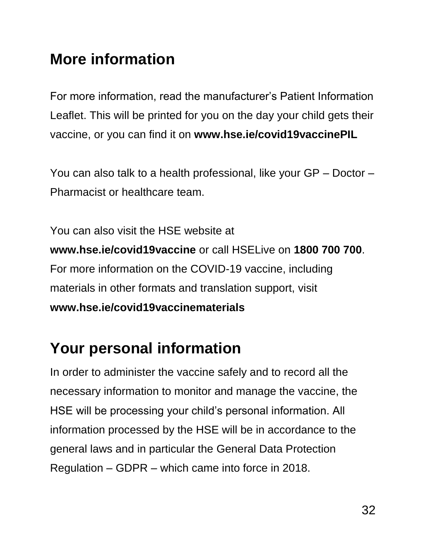### **More information**

For more information, read the manufacturer's Patient Information Leaflet. This will be printed for you on the day your child gets their vaccine, or you can find it on **www.hse.ie/covid19vaccinePIL**

You can also talk to a health professional, like your GP – Doctor – Pharmacist or healthcare team.

You can also visit the HSE website at **www.hse.ie/covid19vaccine** or call HSELive on **1800 700 700**. For more information on the COVID-19 vaccine, including materials in other formats and translation support, visit **www.hse.ie/covid19vaccinematerials**

#### **Your personal information**

In order to administer the vaccine safely and to record all the necessary information to monitor and manage the vaccine, the HSE will be processing your child's personal information. All information processed by the HSE will be in accordance to the general laws and in particular the General Data Protection Regulation – GDPR – which came into force in 2018.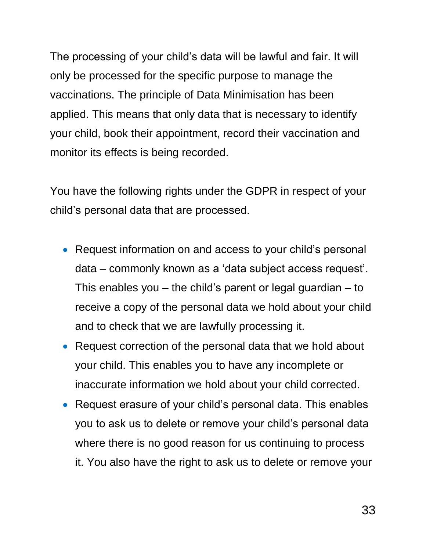The processing of your child's data will be lawful and fair. It will only be processed for the specific purpose to manage the vaccinations. The principle of Data Minimisation has been applied. This means that only data that is necessary to identify your child, book their appointment, record their vaccination and monitor its effects is being recorded.

You have the following rights under the GDPR in respect of your child's personal data that are processed.

- Request information on and access to your child's personal data – commonly known as a 'data subject access request'. This enables you  $-$  the child's parent or legal guardian  $-$  to receive a copy of the personal data we hold about your child and to check that we are lawfully processing it.
- Request correction of the personal data that we hold about your child. This enables you to have any incomplete or inaccurate information we hold about your child corrected.
- Request erasure of your child's personal data. This enables you to ask us to delete or remove your child's personal data where there is no good reason for us continuing to process it. You also have the right to ask us to delete or remove your